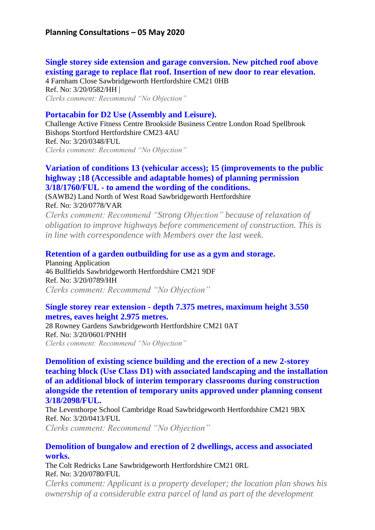# **Single [storey side extension and garage conversion. New pitched roof above](https://publicaccess.eastherts.gov.uk/online-applications/applicationDetails.do?activeTab=summary&keyVal=Q7C6REGLG0V00&prevPage=inTray)  [existing garage to replace flat roof. Insertion of new door to rear elevation.](https://publicaccess.eastherts.gov.uk/online-applications/applicationDetails.do?activeTab=summary&keyVal=Q7C6REGLG0V00&prevPage=inTray)**

4 Farnham Close Sawbridgeworth Hertfordshire CM21 0HB Ref. No: 3/20/0582/HH | *Clerks comment: Recommend "No Objection"*

## **[Portacabin for D2 Use \(Assembly and Leisure\).](https://publicaccess.eastherts.gov.uk/online-applications/applicationDetails.do?activeTab=summary&keyVal=Q5XVMHGLFKP00&prevPage=inTray)**

Challenge Active Fitness Centre Brookside Business Centre London Road Spellbrook Bishops Stortford Hertfordshire CM23 4AU Ref. No: 3/20/0348/FUL *Clerks comment: Recommend "No Objection"*

### **Variation of conditions 13 (vehicular [access\); 15 \(improvements to the public](https://publicaccess.eastherts.gov.uk/online-applications/applicationDetails.do?activeTab=summary&keyVal=Q97359GLGGW00&prevPage=inTray)  [highway ;18 \(Accessible and adaptable homes\)](https://publicaccess.eastherts.gov.uk/online-applications/applicationDetails.do?activeTab=summary&keyVal=Q97359GLGGW00&prevPage=inTray) of planning permission 3/18/1760/FUL - [to amend the wording of the conditions.](https://publicaccess.eastherts.gov.uk/online-applications/applicationDetails.do?activeTab=summary&keyVal=Q97359GLGGW00&prevPage=inTray)**

(SAWB2) Land North of West Road Sawbridgeworth Hertfordshire Ref. No: 3/20/0778/VAR

*Clerks comment: Recommend "Strong Objection" because of relaxation of obligation to improve highways before commencement of construction. This is in line with correspondence with Members over the last week.* 

#### **[Retention of a garden outbuilding for use as a gym and storage.](https://publicaccess.eastherts.gov.uk/online-applications/applicationDetails.do?activeTab=summary&keyVal=Q9A68PGLGHZ00&prevPage=inTray)**

Planning Application 46 Bullfields Sawbridgeworth Hertfordshire CM21 9DF Ref. No: 3/20/0789/HH *Clerks comment: Recommend "No Objection"*

#### **Single storey rear extension - [depth 7.375 metres, maximum height 3.550](https://publicaccess.eastherts.gov.uk/online-applications/applicationDetails.do?activeTab=summary&keyVal=Q7FRFSGL00X00&prevPage=inTray)  [metres, eaves height 2.975 metres.](https://publicaccess.eastherts.gov.uk/online-applications/applicationDetails.do?activeTab=summary&keyVal=Q7FRFSGL00X00&prevPage=inTray)**

28 Rowney Gardens Sawbridgeworth Hertfordshire CM21 0AT Ref. No: 3/20/0601/PNHH *Clerks comment: Recommend "No Objection"*

**[Demolition of existing science building and the erection of a new 2-storey](https://publicaccess.eastherts.gov.uk/online-applications/applicationDetails.do?activeTab=summary&keyVal=Q6BGLTGLFP600&prevPage=inTray)  [teaching block \(Use Class D1\) with associated landscaping and the installation](https://publicaccess.eastherts.gov.uk/online-applications/applicationDetails.do?activeTab=summary&keyVal=Q6BGLTGLFP600&prevPage=inTray)  [of an additional block of interim temporary classrooms during construction](https://publicaccess.eastherts.gov.uk/online-applications/applicationDetails.do?activeTab=summary&keyVal=Q6BGLTGLFP600&prevPage=inTray)  [alongside the retention of temporary units approved under planning consent](https://publicaccess.eastherts.gov.uk/online-applications/applicationDetails.do?activeTab=summary&keyVal=Q6BGLTGLFP600&prevPage=inTray)  [3/18/2098/FUL.](https://publicaccess.eastherts.gov.uk/online-applications/applicationDetails.do?activeTab=summary&keyVal=Q6BGLTGLFP600&prevPage=inTray)**

The Leventhorpe School Cambridge Road Sawbridgeworth Hertfordshire CM21 9BX Ref. No: 3/20/0413/FUL

*Clerks comment: Recommend "No Objection"*

#### **[Demolition of bungalow and erection of 2 dwellings, access and associated](https://publicaccess.eastherts.gov.uk/online-applications/applicationDetails.do?activeTab=summary&keyVal=Q98BJGGLGH500&prevPage=inTray)  [works.](https://publicaccess.eastherts.gov.uk/online-applications/applicationDetails.do?activeTab=summary&keyVal=Q98BJGGLGH500&prevPage=inTray)**

The Colt Redricks Lane Sawbridgeworth Hertfordshire CM21 0RL Ref. No: 3/20/0780/FUL

*Clerks comment: Applicant is a property developer; the location plan shows his ownership of a considerable extra parcel of land as part of the development*